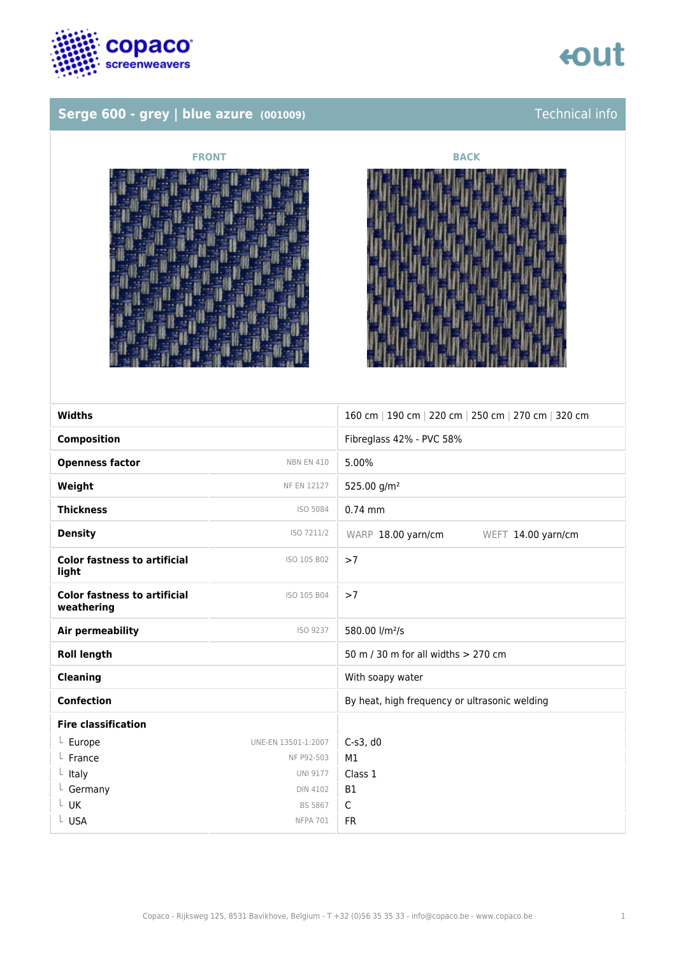

## tout

## **Serge 600 - grey | blue azure** (001009) Technical info





| <b>Widths</b>                                     |                     | 160 cm   190 cm   220 cm   250 cm   270 cm   320 cm |
|---------------------------------------------------|---------------------|-----------------------------------------------------|
| <b>Composition</b>                                |                     | Fibreglass 42% - PVC 58%                            |
| <b>Openness factor</b>                            | <b>NBN EN 410</b>   | 5.00%                                               |
| Weight                                            | <b>NF EN 12127</b>  | 525.00 g/m <sup>2</sup>                             |
| <b>Thickness</b>                                  | ISO 5084            | $0.74$ mm                                           |
| <b>Density</b>                                    | ISO 7211/2          | WARP 18.00 yarn/cm<br>WEFT 14.00 yarn/cm            |
| <b>Color fastness to artificial</b><br>light      | ISO 105 B02         | >7                                                  |
| <b>Color fastness to artificial</b><br>weathering | ISO 105 B04         | >7                                                  |
| Air permeability                                  | ISO 9237            | 580.00 l/m <sup>2</sup> /s                          |
| <b>Roll length</b>                                |                     | 50 m / 30 m for all widths $> 270$ cm               |
| <b>Cleaning</b>                                   |                     | With soapy water                                    |
| <b>Confection</b>                                 |                     | By heat, high frequency or ultrasonic welding       |
| <b>Fire classification</b>                        |                     |                                                     |
| $L$ Europe                                        | UNE-EN 13501-1:2007 | $C-s3$ , d $0$                                      |
| $L$ France                                        | NF P92-503          | M1                                                  |
| $L$ Italy                                         | <b>UNI 9177</b>     | Class 1                                             |
| $L$ Germany                                       | <b>DIN 4102</b>     | <b>B1</b>                                           |
| $L$ UK                                            | <b>BS 5867</b>      | $\mathsf{C}$                                        |
| L USA                                             | <b>NFPA 701</b>     | <b>FR</b>                                           |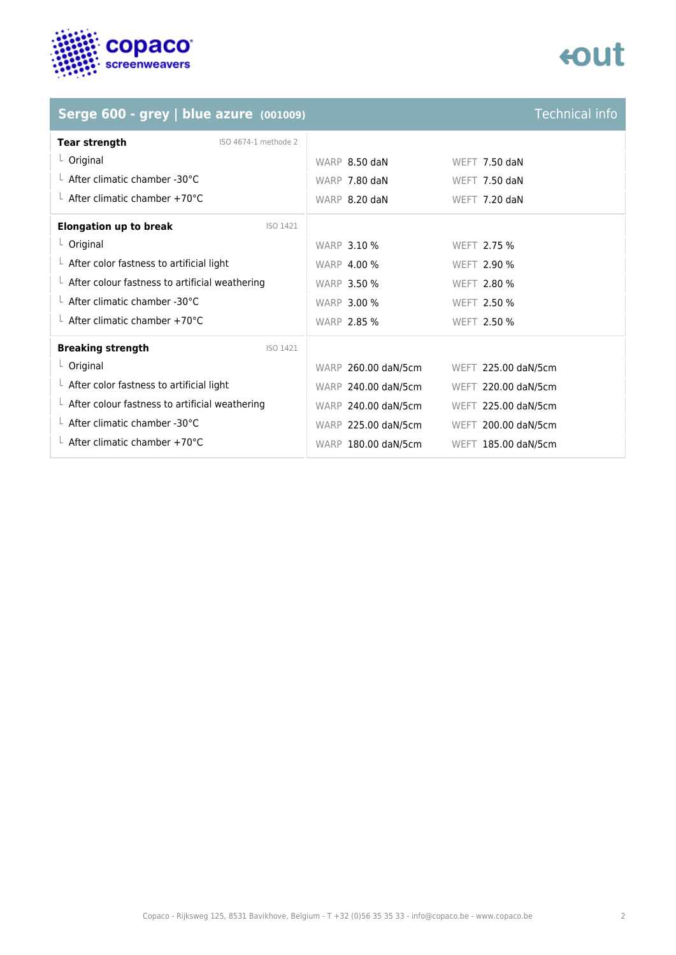

## enut

## **Serge 600 - grey | blue azure** *(001009)* **Technical info**

| <b>Tear strength</b>                                   | ISO 4674-1 methode 2 |                    |                      |  |
|--------------------------------------------------------|----------------------|--------------------|----------------------|--|
| $L$ Original                                           |                      | WARP $8.50$ daN    | <b>WEFT 7.50 daN</b> |  |
| $\perp$ After climatic chamber -30 °C                  |                      | WARP 7.80 daN      | WEFT $7.50$ daN      |  |
| $\perp$ After climatic chamber +70°C                   |                      | WARP 8.20 daN      | WEFT $7.20$ daN      |  |
| <b>Elongation up to break</b>                          | <b>ISO 1421</b>      |                    |                      |  |
| $L$ Original                                           |                      | <b>WARP 3.10 %</b> | WEFT 2.75 %          |  |
| $\perp$ After color fastness to artificial light       |                      | <b>WARP 4.00 %</b> | WEFT 2.90 %          |  |
| $\perp$ After colour fastness to artificial weathering |                      | <b>WARP 3.50 %</b> | WEFT 2.80 %          |  |
| $\perp$ After climatic chamber -30°C                   |                      | <b>WARP 3.00 %</b> | WEFT 2.50 %          |  |
| $\perp$ After climatic chamber +70°C                   |                      | <b>WARP 2.85 %</b> | <b>WEFT 2.50 %</b>   |  |
| <b>Breaking strength</b>                               | <b>ISO 1421</b>      |                    |                      |  |

| <b>Breaking strength</b>                               | ISO 1421 |                     |                     |
|--------------------------------------------------------|----------|---------------------|---------------------|
| $L$ Original                                           |          | WARP 260.00 daN/5cm | WEFT 225.00 daN/5cm |
| $\perp$ After color fastness to artificial light       |          | WARP 240.00 daN/5cm | WEFT 220.00 daN/5cm |
| $\perp$ After colour fastness to artificial weathering |          | WARP 240.00 daN/5cm | WEFT 225.00 daN/5cm |
| $\perp$ After climatic chamber -30°C                   |          | WARP 225.00 daN/5cm | WEFT 200.00 daN/5cm |
| $\perp$ After climatic chamber +70°C                   |          | WARP 180.00 daN/5cm | WEFT 185.00 daN/5cm |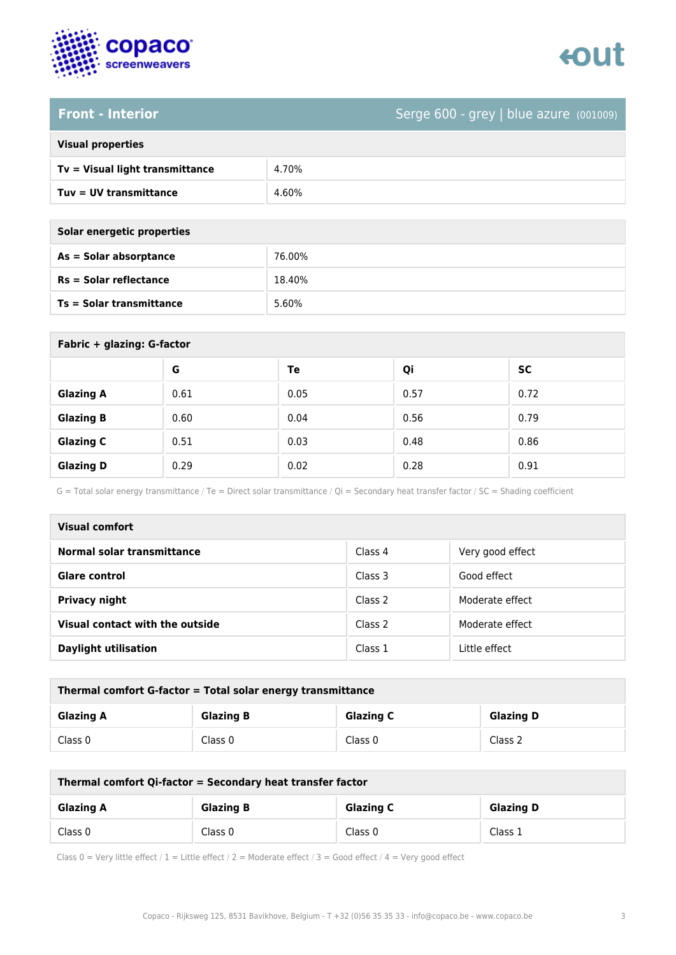

# enut

## **Front - Interior** Serge 600 - grey | blue azure (001009)

| <b>Visual properties</b> |  |
|--------------------------|--|
|                          |  |

| Tv = Visual light transmittance | 4.70% |
|---------------------------------|-------|
| $Tuv = UV$ transmittance        | 4.60% |

| Solar energetic properties |  |  |
|----------------------------|--|--|
| As = Solar absorptance     |  |  |
|                            |  |  |

| <b>SAIGE CITCLACTIC MINNEL FICS</b> |        |
|-------------------------------------|--------|
| As = Solar absorptance              | 76.00% |
| <b>Rs = Solar reflectance</b>       | 18.40% |
| <b>Ts = Solar transmittance</b>     | 5.60%  |

| Fabric + glazing: G-factor |      |      |      |           |  |
|----------------------------|------|------|------|-----------|--|
|                            | G    | Te   | Qi   | <b>SC</b> |  |
| <b>Glazing A</b>           | 0.61 | 0.05 | 0.57 | 0.72      |  |
| <b>Glazing B</b>           | 0.60 | 0.04 | 0.56 | 0.79      |  |
| <b>Glazing C</b>           | 0.51 | 0.03 | 0.48 | 0.86      |  |
| <b>Glazing D</b>           | 0.29 | 0.02 | 0.28 | 0.91      |  |

G = Total solar energy transmittance / Te = Direct solar transmittance / Qi = Secondary heat transfer factor / SC = Shading coefficient

| Visual comfort                  |         |                  |
|---------------------------------|---------|------------------|
| Normal solar transmittance      | Class 4 | Very good effect |
| <b>Glare control</b>            | Class 3 | Good effect      |
| <b>Privacy night</b>            | Class 2 | Moderate effect  |
| Visual contact with the outside | Class 2 | Moderate effect  |
| <b>Daylight utilisation</b>     | Class 1 | Little effect    |

| Thermal comfort G-factor = Total solar energy transmittance |                  |                  |                  |  |
|-------------------------------------------------------------|------------------|------------------|------------------|--|
| <b>Glazing A</b>                                            | <b>Glazing B</b> | <b>Glazing C</b> | <b>Glazing D</b> |  |
| Class 0                                                     | Class 0          | Class 0          | Class 2          |  |

| Thermal comfort Qi-factor = Secondary heat transfer factor |                  |                  |                  |  |
|------------------------------------------------------------|------------------|------------------|------------------|--|
| <b>Glazing A</b>                                           | <b>Glazing B</b> | <b>Glazing C</b> | <b>Glazing D</b> |  |
| Class 0                                                    | Class 0          | Class 0          | Class 1          |  |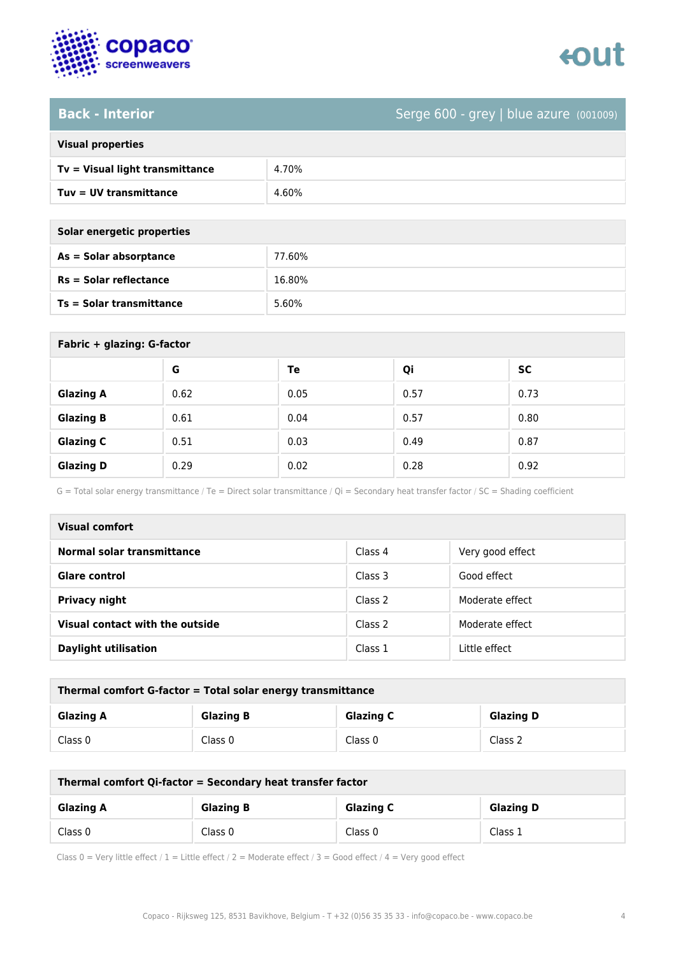

# enut

## **Back - Interior** Serge 600 - grey | blue azure (001009)

|  | <b>Visual properties</b> |
|--|--------------------------|
|  |                          |

| $Tv = Visual light transmittance$ | 4.70% |
|-----------------------------------|-------|
| Tuv = UV transmittance            | 4.60% |

| Solar energetic properties |
|----------------------------|
| As = Solar absorptance     |

| As = Solar absorptance          | 77.60% |
|---------------------------------|--------|
| $Rs = Solar$ reflectance        | 16.80% |
| <b>Ts = Solar transmittance</b> | 5.60%  |

| Fabric + glazing: G-factor |      |      |      |           |
|----------------------------|------|------|------|-----------|
|                            | G    | Te   | Qi   | <b>SC</b> |
| <b>Glazing A</b>           | 0.62 | 0.05 | 0.57 | 0.73      |
| <b>Glazing B</b>           | 0.61 | 0.04 | 0.57 | 0.80      |
| <b>Glazing C</b>           | 0.51 | 0.03 | 0.49 | 0.87      |
| <b>Glazing D</b>           | 0.29 | 0.02 | 0.28 | 0.92      |

G = Total solar energy transmittance / Te = Direct solar transmittance / Qi = Secondary heat transfer factor / SC = Shading coefficient

| Visual comfort                  |         |                  |  |  |
|---------------------------------|---------|------------------|--|--|
| Normal solar transmittance      | Class 4 | Very good effect |  |  |
| <b>Glare control</b>            | Class 3 | Good effect      |  |  |
| Privacy night                   | Class 2 | Moderate effect  |  |  |
| Visual contact with the outside | Class 2 | Moderate effect  |  |  |
| <b>Daylight utilisation</b>     | Class 1 | Little effect    |  |  |

| Thermal comfort G-factor = Total solar energy transmittance                  |         |         |         |  |
|------------------------------------------------------------------------------|---------|---------|---------|--|
| <b>Glazing C</b><br><b>Glazing B</b><br><b>Glazing D</b><br><b>Glazing A</b> |         |         |         |  |
| Class 0                                                                      | Class 0 | Class 0 | Class 2 |  |

| Thermal comfort Qi-factor = Secondary heat transfer factor                   |         |         |         |  |
|------------------------------------------------------------------------------|---------|---------|---------|--|
| <b>Glazing C</b><br><b>Glazing B</b><br><b>Glazing D</b><br><b>Glazing A</b> |         |         |         |  |
| Class 0                                                                      | Class 0 | Class 0 | Class 1 |  |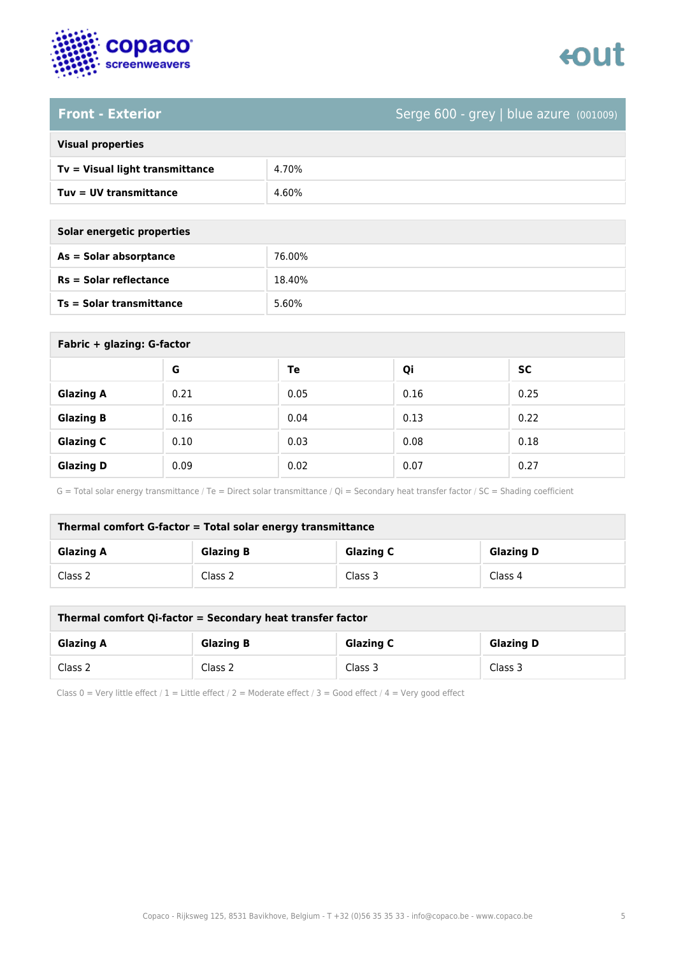

# enut

## **Front - Exterior** Serge 600 - grey | blue azure (001009)

| <b>Visual properties</b> |  |
|--------------------------|--|
|                          |  |

| Tv = Visual light transmittance | 4.70% |
|---------------------------------|-------|
| Tuy = UV transmittance          | 4.60% |

| Solar energetic properties |        |  |
|----------------------------|--------|--|
| $As = Solar absorption$    | 76.00% |  |
| $Rs = Solar$ reflectance   | 18.40% |  |

| <b>Ts = Solar transmittance</b> |   | 5.60% |    |           |
|---------------------------------|---|-------|----|-----------|
| Fabric + glazing: G-factor      |   |       |    |           |
|                                 | G | Тe    | Oi | <b>SC</b> |

|                  |      | --   | ∼.   | --   |
|------------------|------|------|------|------|
| <b>Glazing A</b> | 0.21 | 0.05 | 0.16 | 0.25 |
| <b>Glazing B</b> | 0.16 | 0.04 | 0.13 | 0.22 |
| <b>Glazing C</b> | 0.10 | 0.03 | 0.08 | 0.18 |
| <b>Glazing D</b> | 0.09 | 0.02 | 0.07 | 0.27 |

G = Total solar energy transmittance / Te = Direct solar transmittance / Qi = Secondary heat transfer factor / SC = Shading coefficient

| Thermal comfort G-factor = Total solar energy transmittance |                  |                  |                  |
|-------------------------------------------------------------|------------------|------------------|------------------|
| <b>Glazing A</b>                                            | <b>Glazing B</b> | <b>Glazing C</b> | <b>Glazing D</b> |
| Class 2                                                     | Class 2          | Class 3          | Class 4          |

| Thermal comfort Qi-factor = Secondary heat transfer factor |                  |                  |                  |
|------------------------------------------------------------|------------------|------------------|------------------|
| <b>Glazing A</b>                                           | <b>Glazing B</b> | <b>Glazing C</b> | <b>Glazing D</b> |
| Class 2                                                    | Class 2          | Class 3          | Class 3          |